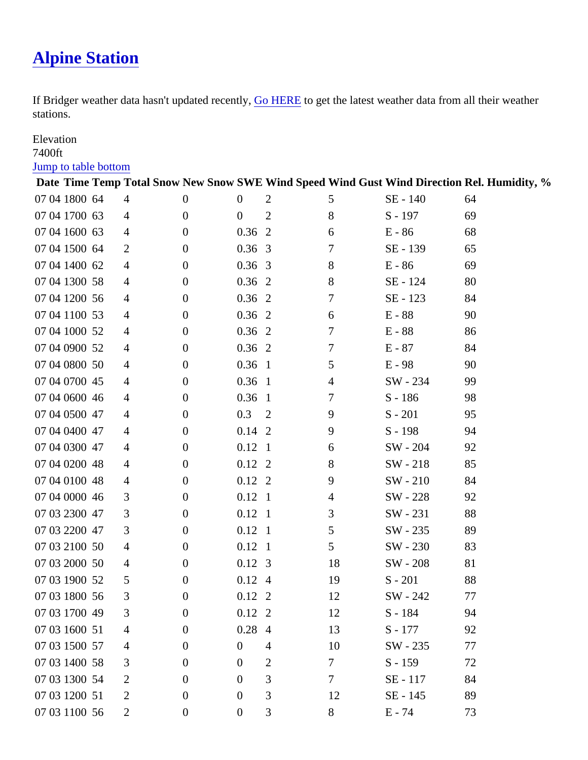## [Alpine Station](https://www.mtavalanche.com/weather/bridger/alpine)

If Bridger weather data hasn't updated recerty, HERE to get the latest weather data from all their weather stations.

## **Elevation**

## 7400ft

## [Jump to table botto](#page-1-0)m

| <u>Julip to table pottom</u> |                |             |             |                |                                                                                           |           |    |
|------------------------------|----------------|-------------|-------------|----------------|-------------------------------------------------------------------------------------------|-----------|----|
|                              |                |             |             |                | Date Time Temp Total Snow New SnowSWE Wind SpeedWind Gust Wind Direction Rel. Humidity, % |           |    |
| 07 041800 64                 | 4              | 0           | $\mathbf 0$ | $\overline{2}$ | 5                                                                                         | SE - 140  | 64 |
| 07 041700 63                 | 4              | 0           | $\mathbf 0$ | $\overline{2}$ | 8                                                                                         | $S - 197$ | 69 |
| 07 041600 63                 | 4              | 0           | 0.362       |                | 6                                                                                         | $E - 86$  | 68 |
| 07 041500 64                 | $\overline{2}$ | 0           | 0.363       |                | $\overline{7}$                                                                            | SE - 139  | 65 |
| 07 041400 62                 | 4              | $\mathbf 0$ | 0.363       |                | 8                                                                                         | $E - 86$  | 69 |
| 07 041300 58                 | 4              | 0           | 0.362       |                | 8                                                                                         | SE - 124  | 80 |
| 07 041200 56                 | 4              | 0           | 0.362       |                | $\overline{7}$                                                                            | SE - 123  | 84 |
| 07 041100 53                 | 4              | 0           | 0.362       |                | 6                                                                                         | $E - 88$  | 90 |
| 07 041000 52                 | 4              | 0           | 0.362       |                | $\overline{7}$                                                                            | $E - 88$  | 86 |
| 07 040900 52                 | 4              | 0           | 0.362       |                | $\overline{7}$                                                                            | $E - 87$  | 84 |
| 07 040800 50                 | 4              | 0           | $0.36$ 1    |                | 5                                                                                         | $E - 98$  | 90 |
| 07 040700 45                 | 4              | $\mathbf 0$ | $0.36$ 1    |                | 4                                                                                         | SW - 234  | 99 |
| 07 040600 46                 | 4              | $\mathbf 0$ | 0.361       |                | $\overline{7}$                                                                            | $S - 186$ | 98 |
| 07 040500 47                 | 4              | 0           | 0.3         | $\overline{2}$ | 9                                                                                         | $S - 201$ | 95 |
| 07 040400 47                 | 4              | 0           | 0.142       |                | 9                                                                                         | $S - 198$ | 94 |
| 07 040300 47                 | 4              | 0           | $0.12$ 1    |                | 6                                                                                         | SW - 204  | 92 |
| 07 040200 48                 | 4              | $\mathbf 0$ | 0.122       |                | 8                                                                                         | SW - 218  | 85 |
| 07 040100 48                 | 4              | 0           | 0.122       |                | 9                                                                                         | SW - 210  | 84 |
| 07 040000 46                 | 3              | 0           | $0.12$ 1    |                | 4                                                                                         | SW - 228  | 92 |
| 07 032300 47                 | 3              | 0           | $0.12$ 1    |                | 3                                                                                         | SW - 231  | 88 |
| 07 032200 47                 | 3              | $\mathbf 0$ | $0.12$ 1    |                | 5                                                                                         | SW - 235  | 89 |
| 07 032100 50                 | 4              | 0           | $0.12$ 1    |                | 5                                                                                         | SW - 230  | 83 |
| 07 032000 50                 | 4              | 0           | 0.123       |                | 18                                                                                        | SW - 208  | 81 |
| 07 031900 52                 | 5              | $\mathbf 0$ | 0.124       |                | 19                                                                                        | $S - 201$ | 88 |
| 07 031800 56                 | 3              | $\mathbf 0$ | $0.12$ 2    |                | 12                                                                                        | SW - 242  | 77 |
| 07 031700 49                 | 3              | 0           | 0.122       |                | 12                                                                                        | $S - 184$ | 94 |
| 07 031600 51                 | 4              | 0           | 0.284       |                | 13                                                                                        | $S - 177$ | 92 |
| 07 031500 57                 | 4              | 0           | 0           | 4              | 10                                                                                        | SW - 235  | 77 |
| 07 031400 58                 | 3              | 0           | 0           | $\overline{2}$ | $\overline{7}$                                                                            | $S - 159$ | 72 |
| 07 031300 54                 | 2              | 0           | 0           | 3              | $\overline{7}$                                                                            | SE - 117  | 84 |
| 07 031200 51                 | 2              | 0           | 0           | 3              | 12                                                                                        | SE - 145  | 89 |
| 07 031100 56                 | $\overline{2}$ | 0           | 0           | 3              | 8                                                                                         | $E - 74$  | 73 |